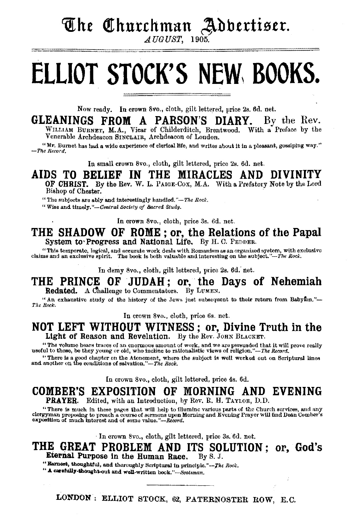### The Churchman Adbertiser.

AUGUST, 1905.

# **ELLIOT STOCK'S NEW, BOOKS.**

Now ready. In crown 8vo., cloth, gilt lettered, price 2s. 6d. net.

**GLEANINGS FROM A PARSON'S DIARY.** By the Rev. WILLIAM BURNET, M.A., Viear of Childerditch, Brentwood. With a Preface by the Venerable Archdeacon SINCLAIR, Archdeacon of London.

 $"$  Mr. Burnet has had a wide experience of clerical life, and writes about it in a pleasant, gossiping way."  $-$ *The Record.* 

In small crown Svo., cloth, gilt lettered, price 2s. 6d. net.

AIDS TO BELIEF IN THE MIRACLES AND DIVINI OF CHRIST. By the Rev. W. L. PAIGE-Cox, M.A. With a Prefatory Note by the Lord Bishop of Chester.

"The subjects are ably and interestingly handled."-The Rock.

"Wise and timely. *"-Central Soclely of Sacred Stu<lv.* 

In crown Svo., cloth, price 3s. 6d. net.

**THE SHADOW OF ROME; or, the Relations of the Papal System to• Progress and National Life.** By H. C. PEDDER.

"This temperate, logical, and accurate work deals with Romanism as an organized system, with exclusive claims and an exclusive spirit. The book is both valuable and interesting on the subject."-The Rock.

In demy 8vo., cloth, gilt lettered, price 2s. 6d. net.

**THE PRINCE OF JUDAH; or, the Days of Nehemiah**  Redated. A Challenge to Commentators. By LUMEN.

"An exhaustive study of the history of the Jews just subsequent to their return from Babyton."-*The Rock.* 

In crown 8vo., cloth, price 6s. net.

### **NOT LEFT WITHOUT WITNESS** ; or, **Divine Truth in the**  Light of Reason and Revelation. By the Rev. JOHN BLACKET.

"The volume bears traces of an enormous amount of work, and we are persuaded that it will prove really useful to those, be they young or old, who incline to rationalistic views of religion."-The *Record*.

"There is a good chapter on the Atonement, where the subject is well worked out on Scriptural lines and another on the conditions of salvation."—The Rock.

In crown Svo., cloth, gilt lettered, price 4s. 6d.

**COMBER'S EXPOSITION OF MORNING AND EVENING**  PRAYER. Edited, with an Introduction, by Rev. R. H. TAYLOR, D.D.

"There is much in these pages that will help to illumine various parts of the Church services, and any<br>clergyman proposing to preach a course of sermons upon Morning and Evening Prayer will find Dean Comber's<br>exposition of

· In crown 8vo., cloth, gilt lettered, price 3s. 6d. net.

### **THE GREAT PROBLEM AND ITS SOLUTION ; or, God's** eternal Purpose in the Human Race. By S. J. Eternal Purpose in the Human Race.

" Earnest, thoughtful, and thoroughly Scriptural in principle."--The Rock.

*"A.* canfully-t;hought.out a.nd well-written *book."-&otsman.* 

LONDON: ELLIOT STOCK, 62, PATERNOSTER ROW, E.C.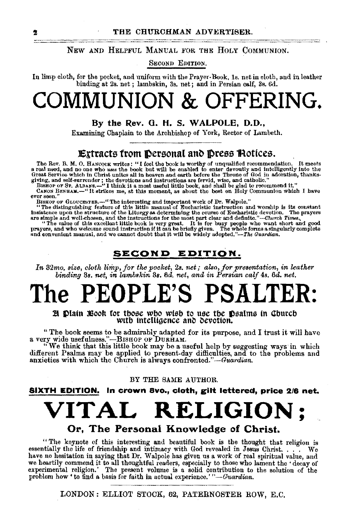NEW AND HELPFUL MANUAL FOR THE HOLY COMMUNION.

SECOND EDITION.

In limp cloth, for the pocket, and uniform with the Prayer-Book, Is. net in cloth, and in leather binding at 2s. net ; lambskin, 3s. net; and in Persian oolf, 3s. 6d.

## **COMMUNION & OFFERING.**

#### By the Rev. 0. H. S. WALPOLE, D.O.,

Examining Chaplain to the Archbishop of York, Rector of Lambeth.

### **Extracts from Dersonal and Dress Hotices.**

The Rev. B. M. O. HANCOCK writes: "I feel the book is worthy of unqualified recommendation. It meets<br>a real need, and no one who uses the book but will be enabled to enter devoutly and intelligently into the<br>Great Service

giving, and self-surrender; the devotions and instructions are fervid, wise, and catholic."<br>BISHOP OF ST. ALBANS.—"I think it a most useful little book, and shall be glad to recommend it."<br>CANOS BENEAM.—"It strikes me, at

BISHOP OF GLOUCESTER.—"The interesting and important work of Dr. Walpole."<br>
"The distinguishing feature of this little manual of Eucharistic instruction and worship is its constant<br>
imatisferece upon the structure of the

### SECOND EDITION.

*In* 32mo. size, cloth limp, for the pocket, 2s. net; also, for presentation, in leather *binding 3s. net, in lambskin* 3s. 6d. net, and in Persian calf 4s. 6d. net.

## 'he PEOPLE'S PSA**L**

**H** Plain Book for those who wish to use the Psalms in Church with intelligence and devotion.

"The book seems to be admirably adapted for its purpose, aud I trust it will have a very wide usefulness."~ BISHOP OF DURHAM.

''We think that this little book may be a useful help by suggesting ways in which different Psalms may be applied t.o present-day difficulties, and to the problems and anxieties with which the Church is always confronted."-Guardian.

#### BY THE SAME AUTHOR.

SIXTH EDITION. In crown avo., cloth, gilt lettered, price 2/8 net.

## **VITAL RELIGION;**

### Or, The Personal Knowledge of Christ.

" The keynote of this interesting and beautiful book is the thought that religion is essentially the life of friendship and intimacy with God revealed in Jesus Christ. . . . We have no hesitation in saying that Dr. Walpole has given us a work of real spiritual value, and<br>we heartily commend it to all thoughtful readers, especially to those who lament the 'decay of<br>experimental religion.' The pres

LONDON: ELLIOT STOCK, 62, PATERNOSTER ROW, E.C.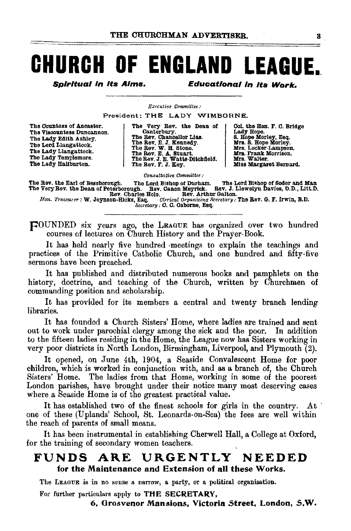## **CHURCH OF ENGLAND LEAGUE.**

**Spiritual in its Aims.** 

**Educational in its Work.** 

Executive Committee:

President; THE LADY WIMBORNE.

| The Countess of Ancaster. |
|---------------------------|
| The Viscountess Duncannon |
| The Lady Edith Ashley.    |
| The Lord Llangattock.     |
| The Lady Llangattock.     |
| The Lady Templemore.      |
| The Lady Haliburton.      |

The Very Rev. the Dean of<br>The Rev. Chancellor Lias.<br>The Rev. Chancellor Lias.<br>The Rev. E. J. Kennedy.<br>The Rev. E. J. Kenart.<br>The Rev. J. E. Watts-Ditchfield.<br>The Rev. J. E. Watts-Ditchfield.<br>The Rev. F. J. Key.

Col. the Hon. F. C. Bridge Lady Hope.<br>
5. Hope Morley, Esq.<br>
Mrs. S. Hope Morley.<br>
Mrs. Locker-Lampson. Mrs. Frank Morrison.<br>Mrs. Walter. Miss Margaret Bernard.

Consultative Committee:

The Rev. the Earl of Bessborough. The Lord Bishop of Durham. The Lord Bishop of Sodor and Man<br>The Very Rev. the Dean of Peterborough. Bev. Canon Meyrick. Bev. J. Llewelyn Davies, D.D., Litt.D.<br>Hon. Treasurer: W. Joynson-Hi

Secretary : C. C. Osborne, Esq.

FOUNDED six years ago, the LEAGUE has organized over two hundred courses of lectures on Church History and the Prayer-Book.

It has held nearly five hundred meetings to explain the teachings and practices of the Primitive Catholic Church, and one hundred and fifty-five sermons have been preached.

It has published and distributed numerous books and pamphlets on the history, doctrine, and teaching of the Church, written by Churchmen of commanding position and scholarship.

It has provided for its members a central and twenty branch lending libraries.

It has founded a Church Sisters' Home, where ladies are trained and sent out to work under parochial clergy among the sick and the poor. In addition to the fifteen ladies residing in the Home, the League now has Sisters working in very poor districts in North London, Birmingham, Liverpool, and Plymouth  $(2)$ .

It opened, on June 4th, 1904, a Seaside Convalescent Home for poor children, which is worked in conjunction with, and as a branch of, the Church Sisters' Home. The ladies from that Home, working in some of the poorest London parishes, have brought under their notice many most deserving cases where a Seaside Home is of the greatest practical value.

It has established two of the finest schools for girls in the country. At one of these (Uplands' School, St. Leonards-on-Sea) the fees are well within the reach of parents of small means.

It has been instrumental in establishing Cherwell Hall, a College at Oxford, for the training of secondary women teachers.

#### **FUNDS** URGENTLY ARE NEEDED for the Maintenance and Extension of all these Works.

The LEAGUE is in no sense a narrow, a party, or a political organisation.

For further particulars apply to THE SECRETARY.

6, Grosvenor Mansions, Victoria Street, London, S.W.

8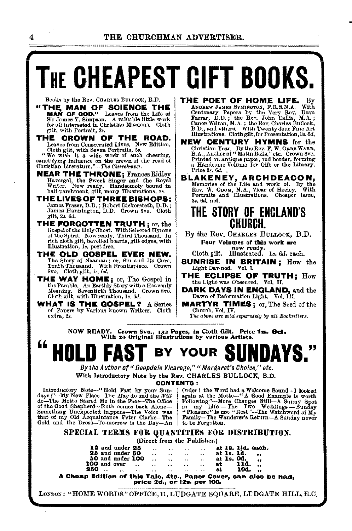# **THE CHEAPEST GIFT BOOKS.**

Books by the Rev. CHARLES BULLOCK, B.D.

- "THE MAN OF SCIENCE THE MAN OF GOD." Leaves from the Life of Sir James Y. Simpson. A valuable little work for all interested in Christian Missions. Cloth
- gilt, with Portrait, 2*4*.<br>THE **OROWN OF THE ROAD.** Leavos from Consecrated Lives. New Edition.<br>Cloth gilt, with Seven Portraits, 5s.

"We wish it a wide work of such cheering, sanctifying influence on the crown of the road of Christian Literature."—*The Churchman*.

- **NEAR THE THRONE; Frances Ridley** Havergal, the Sweet Singer and the Royal Writer. Now ready. Handsomely bound in half-parchment, gilt, many lllustrations, 2s.
- THE LIVES OF THREE BISHOPS:<br>James Fraser, D.D.; Robert Bickersteth, D.D.;<br>James Hannington, D.D. Crown 8vo. Cloth gilt, 2s. 6d.
- **THE FORGOTTEN TRUTH**; or, the Gospel of the Holy Ghost. With Selected Hymns of the Spirit. Now ready. Third Thousand. In rich cloth gilt, bevelled boards, gilt edges, with Illustration, 1s. post free.
- THE OLD GOSPEL EVER NEW. The Story of Naaman; or, Sin and Its Cure. Tenth Thousand. With Frontispiece. Crown Svo. Cloth gilt, ls. *6d.*
- THE WAY HOME; or, The Gospel in the Pamble. An Earthly Story with a Heavenly Meaning. Seventieth Thousand. Crown 8vo. Cloth gilt, with Illustration, la. *6d.*
- WHAT IS THE GOSPEL? A Series of Papers by Various known Writers. Cloth extra, *28.*
- THE POET OF HOME LIFE. ANDREW JAMES SYMINGTON, F.R.S.N.A. With<br>Centenary Papers hy the Very Rev. Dean<br>Farrar, D.D.; the Rev. John Callis, M.A.;<br>Canon Wilton, M.A.; the Rev. Charles Bullock,<br>E.D., and others. With Twenty.four Fine Art illustrations. Cloth gilt, for Presentation, Ss. 6d.
- NEW CENTURY HYMNS for the Christian Year. By the Rev. F. W. ORDE WARD,<br>B.A., Author of " Matin Bells," etc. Crown 8vo. Printed on antique paper, red border, forming a Handsome Volume for Gift or the Library.<br>Price 8s. 6d. .
- BLAKENEY, AROHDEACON, Memories of the Ufe and work of. By the Rev. W. OnoM, M.A., Vicar of Heeley. With Port. W. Obom, M.A., Vicar of Heeley. With<br>Portraits and Illustrations. Cheaper issue,  $2a$ .  $6d$ . net.

### THE STORY OF ENGLAND'S CHURCH.

By the Rev. CHARLES BuLLOCK, B.D. Pour Volumes of this work are now ready. Cloth gilt. lllustrated. ls. *6d.* ea.oh.

- SUNRISE IN BRITAIN; How the Light Dawned. Vol. I.
- THE ECLIPSE OF TRUTH: How the Light was Obscured. Vol. II.

DARK DAYS IN ENGLAND, and the Dawn of Reformation Light. Vol III.

MARTYR TIMES; or, The Seed of the

The above are sold separately by all Booksellers.

NOW READY. Crown 8vo., 132 Pages, in Cloth Gilt. Price 1s. 6d. With 20 Original Illustrations by various Artists.



By the Author of " Deepdale Vicarage," " Margaret's Choice," etc. With Introductory Note by the Rev. CHARLES BULLOCK, B.D.

CONTENTS :<br>
Introductory Note-"Hold Fast by your Sun-<br>
days!"--My New Place-The May do and the Will again<br>
do-The Motto Stared Me in the Face-The Office<br>
of the Good Shepherd-Ruth comes back Alone-<br>
in m

Introductory Note-"Hold Fast by your Sun-<br>
days!"---My New Place-The May do and the *Will*<br>
do---The May do and the *Will*<br>
defined the Motto--"A Good Example is worth<br>
do---The Motto Stared Me in the Pace---The Office of Something Unexpected happens—The Voice was<br>
intererties and the Watchword of My<br>
that of my Old Acquaintance Peter Clarke-The Family-The Wanderer's Return-A Sunday never<br>
Gold and the Dross-To-morrow is the Day-An to be Fo

SPECIAL TERMS FOR QUANTITIES FOR DISTRIBUTION. (Direct from the Publisher.)

| 12 and under 25<br>$\ddot{\phantom{0}}$<br>$\ddot{\phantom{0}}$<br>25 and under 50<br>$\overline{a}$<br>$\ddot{\phantom{0}}$<br>50 and under 100<br>$\sim$<br>$\bullet$<br>100 and over<br>$\ddot{\phantom{a}}$<br>$\ddot{\phantom{a}}$<br>the company of the company<br><b>250</b> .<br>as as a series | e vi<br>$\sim$<br>$\ddot{\phantom{0}}$<br>$\bullet$ X<br>$\sim$ $\sim$<br>$\ddot{\phantom{0}}$<br>$\ddot{\phantom{0}}$<br>the company of the company of the company | at 1s. 11d. each.<br>at $1s. 1d.$<br>at <b>1s. Od.</b> ,<br>11d.<br>at<br>$\overline{\phantom{a}}$<br>10d.<br>аt<br>$\sim$ |
|---------------------------------------------------------------------------------------------------------------------------------------------------------------------------------------------------------------------------------------------------------------------------------------------------------|---------------------------------------------------------------------------------------------------------------------------------------------------------------------|----------------------------------------------------------------------------------------------------------------------------|
|---------------------------------------------------------------------------------------------------------------------------------------------------------------------------------------------------------------------------------------------------------------------------------------------------------|---------------------------------------------------------------------------------------------------------------------------------------------------------------------|----------------------------------------------------------------------------------------------------------------------------|

A Cheap Edition of' thla Tale1 4to., Paper Cover, can also be had, price 2a., or·12a. per 100.

London: "HOME WORDS" OFFICE, 11, LUDGATE SQUARE, LUDGATE HILL, E.C.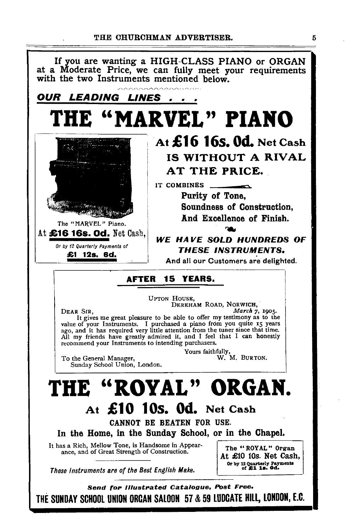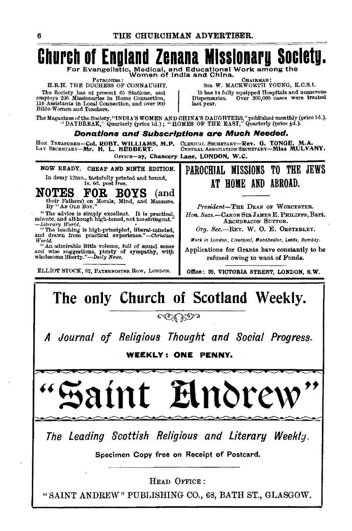#### Church of England Zenana M IISSIONAPY Societu.

For Evangelistic, Medical, and Educational Work among the

PATRONESS : H.R.H. THE DUCHESS OF CONNAUGHT.

The Society has at present 65 Stations, and employs 206 Missionaries in Home Connection, 116 Assistants in Local Connection, and over 900 Bible-Women and Teachers.

CHAIRMAN: SIR W. MACKWORTH YOUNG, K.C.S.I. It has 14 fully equipped Hospitals and numerous<br>tspensaries. Over 300,000 cases were treated Dispensaries. last year.

The Magazines of the Society, "INDIA'S WOMEN AND CHINA'S DAUGHTERS," published monthly (price 1d.).<br>"DAYBREAK," Quarterly (price 1d.); "HOMES OF THE EAST," Quarterly (price 4d.).

#### Donations and Subscriptions are Much Needed.

HON. TREASURER-Col. ROBT. WILLIAMS, M.P. LAY SECRETARY-Mr. H. L. HEBBERT.

CLERICAL SECRETARY-Rev. G. TONGE, M.A.<br>CENTRAL ASSOCIATION SECRETARY-MISS MULVANY. OFFICE-27, Chancery Lane, LONDON, W.C.

NOW READY. CHEAP AND NINTH EDITION.

In demy 12mo., tastefully printed and bound,<br>1s, 6d, post free.

OTES FOR BOYS (and their Fathers) on Morals, Mind, and Manners. **NOTES** 

"The advice is simply excellent. It is practical, minute, and although high-toned, not too stringent." -Literary World.<br>"The teaching is high-principled, liberal-minded,

and drawn from practical experience."-Christian World,

"An admirable little volume, full of sound sense and wise suggestions, pienty of sympathy, with wholesome liberty."—Daily News.

ELLIOT STOCK, 62. PATRENOSTER ROW, LONDON.

PAROCHIAL MISSIONS TO THE JEWS AT HOME AND ABROAD.

President-THE DEAN OF WORCESTER. Hon. Secs.-CANON SIR JAMES E. PHILIPPS. Bart. ARCHDBACON SUTTON.

Org. Sec.-REV. W. O. E. OESTERLEY.

Work in London, Liverpool, Manchester, Leeds, Bombay.

Applications for Grants have constantly to be refused owing to want of Funds.

Office: 39, VICTORIA STREET, LONDON, S.W.

### The only Church of Scotland Weekly.

e C'C' Y D s

Journal of Religious Thought and Social Progress.

WEEKLY: ONE PENNY.

 $\boldsymbol{\hat{y}}$ Inore

The Leading Scottish Religious and Literary Weekly.

Specimen Copy free on Receipt of Postcard.

HEAD OFFICE:

"SAINT ANDREW" PUBLISHING CO., 68, BATH ST., GLASGOW.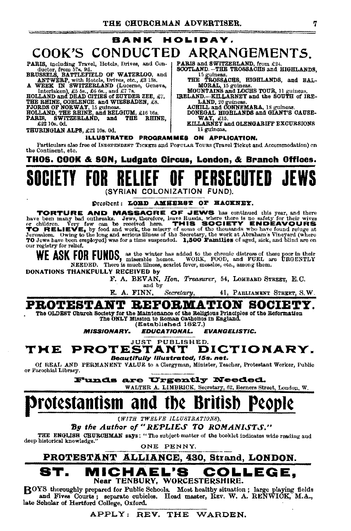### **BANK HOLIDAY.** COOK'S CONDUCTED ARRANGEMENTS.

PARIS, including Travel, Hotels, Drives, and Conductor, from 57s, 9d.<br>
BRUSSELS, BATTLEFIELD OF WATERLOO, and<br>
BRUSSELS, BATTLEFIELD OF WATERLOO, and<br>
ANTWERP, with Hotels, Drives, etc., £3 13s.<br>
A WEEK IN SWITZERLAND (Luc

SWITZERLAND. and PARIS. THÉ RHINE.

£22 10s. 0d.

THURINGIAN ALPS, £22 10s. 0d.

PARIS and SWITZERLAND, from £24,<br>SCOTLAND, -THE TROSSACHS and HIGHLANDS.

15 guineas.<br>THE TROSSACHS, HIGHLANDS, and BAL-

LAND, 20 guiness.<br>ACHILL and CONNEMARA, 18 guiness.<br>DONEGAL HIGHLANDS and GLANT'S CAUSE-

WAY, £15.<br>KILLARNEY and GLENGARIFF EXCURSIONS

11 guineas.

ILLUSTRATED PROGRAMMES ON APPLICATION.

Particulars also free of INDEPENDENT TICKETS and POPULAR TOURS (Travel Ticket and Accommodation) on the Continent, etc.

THOS. GOOK & SON, Ludgate Circus, London, & Branch Offices.

(SYRIAN COLONIZATION

#### President: LOED AMHERST OF HACKNEY.

TORTURE AND MASSACRE OF JEWS has continued this year, and there have been many bad outhreaks. Jews, therefore, leave Russia, where there is no safety for their wives or children. Very few can be received here. THIS SOCIETY our registry for relief.

ASK FOR FUNDS, as the winter has added to the chronic distress of these poor in their NEEDED. There is much illness, scarlet fever, measles, etc., among them.

DONATIONS THANKFULLY RECEIVED by

F. A. BEVAN, Hon. Treasurer, 54, LOMBARD STREET, E.C. and by

E. A. FINN, Secretary, 41, PABLIAMENT STREET, S.W.

### PROTESTANT REFORMATION SOCIETY.

The OLDEST Church Society for the Maintenance of the Religious Principles of the Reformation The ONLY Misston to Roman Oatholics in England. (Established 1827.)

**MISSIONARY.** EDUCATIONAL. **EVANGELISTIC.** 

JUST PUBLISHED. **PROTESTANT** DICTIONARY. TME

Beautifully Illustrated, 15s. net.

Of REAL AND PERMANENT VALUE to a Clergyman, Minister, Teacher, Protestant Worker, Public or Parochial Library.

Funds are Urgently Needed.

WALTER A. LIMBRICK, Secretary, 62, Berners Street, London, W.

#### Protestantism and -IDE ВГ

(WITH TWELVE ILLUSTRATIONS),

### By the Author of "REPLIES TO ROMANISTS."

THE ENGLISH CHURCHMAN says: "The subject-matter of the booklet indicates wide reading and deep historical knowledge.'

ONE PENNY.

### PROTESTANT ALLIANCE, 430, Strand, LONDON.

#### CHAEL'S COLLEGE. Near TENBURY, WORCESTERSHIRE.

BOYS thoroughly prepared for Public Schools. Most healthy situation; large playing fields and Fives Courts; separate cubicles. Head master, REV. W. A. RENWICK, M.A., late Scholar of Hertford College, Oxford.

### APPLY: REV. THE WARDEN.